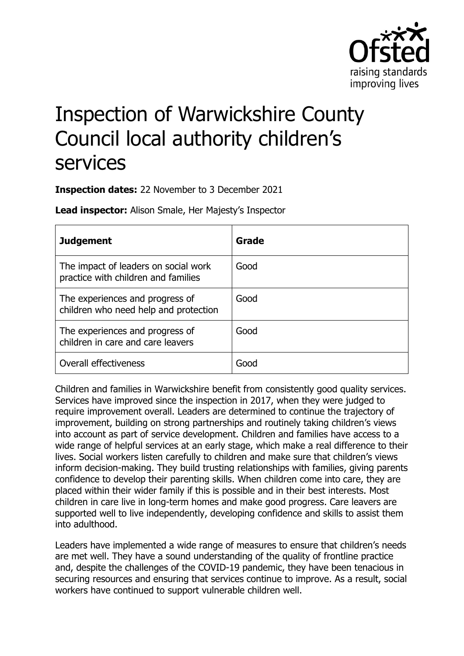

# Inspection of Warwickshire County Council local authority children's services

**Inspection dates:** 22 November to 3 December 2021

**Lead inspector:** Alison Smale, Her Majesty's Inspector

| <b>Judgement</b>                                                            | Grade |
|-----------------------------------------------------------------------------|-------|
| The impact of leaders on social work<br>practice with children and families | Good  |
| The experiences and progress of<br>children who need help and protection    | Good  |
| The experiences and progress of<br>children in care and care leavers        | Good  |
| Overall effectiveness                                                       | Gooc  |

Children and families in Warwickshire benefit from consistently good quality services. Services have improved since the inspection in 2017, when they were judged to require improvement overall. Leaders are determined to continue the trajectory of improvement, building on strong partnerships and routinely taking children's views into account as part of service development. Children and families have access to a wide range of helpful services at an early stage, which make a real difference to their lives. Social workers listen carefully to children and make sure that children's views inform decision-making. They build trusting relationships with families, giving parents confidence to develop their parenting skills. When children come into care, they are placed within their wider family if this is possible and in their best interests. Most children in care live in long-term homes and make good progress. Care leavers are supported well to live independently, developing confidence and skills to assist them into adulthood.

Leaders have implemented a wide range of measures to ensure that children's needs are met well. They have a sound understanding of the quality of frontline practice and, despite the challenges of the COVID-19 pandemic, they have been tenacious in securing resources and ensuring that services continue to improve. As a result, social workers have continued to support vulnerable children well.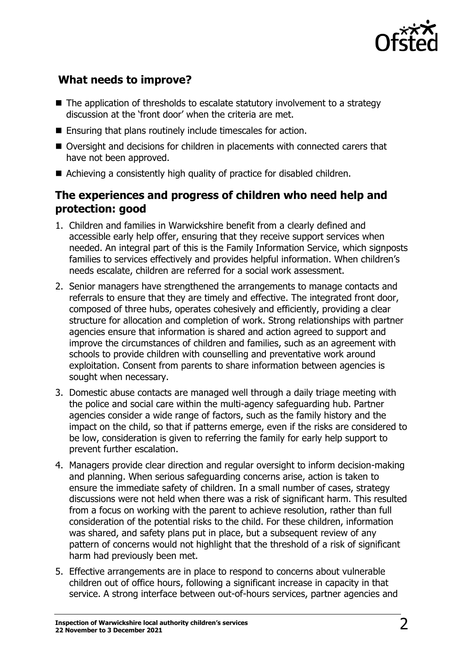

## **What needs to improve?**

- $\blacksquare$  The application of thresholds to escalate statutory involvement to a strategy discussion at the 'front door' when the criteria are met.
- Ensuring that plans routinely include timescales for action.
- Oversight and decisions for children in placements with connected carers that have not been approved.
- Achieving a consistently high quality of practice for disabled children.

## **The experiences and progress of children who need help and protection: good**

- 1. Children and families in Warwickshire benefit from a clearly defined and accessible early help offer, ensuring that they receive support services when needed. An integral part of this is the Family Information Service, which signposts families to services effectively and provides helpful information. When children's needs escalate, children are referred for a social work assessment.
- 2. Senior managers have strengthened the arrangements to manage contacts and referrals to ensure that they are timely and effective. The integrated front door, composed of three hubs, operates cohesively and efficiently, providing a clear structure for allocation and completion of work. Strong relationships with partner agencies ensure that information is shared and action agreed to support and improve the circumstances of children and families, such as an agreement with schools to provide children with counselling and preventative work around exploitation. Consent from parents to share information between agencies is sought when necessary.
- 3. Domestic abuse contacts are managed well through a daily triage meeting with the police and social care within the multi-agency safeguarding hub. Partner agencies consider a wide range of factors, such as the family history and the impact on the child, so that if patterns emerge, even if the risks are considered to be low, consideration is given to referring the family for early help support to prevent further escalation.
- 4. Managers provide clear direction and regular oversight to inform decision-making and planning. When serious safeguarding concerns arise, action is taken to ensure the immediate safety of children. In a small number of cases, strategy discussions were not held when there was a risk of significant harm. This resulted from a focus on working with the parent to achieve resolution, rather than full consideration of the potential risks to the child. For these children, information was shared, and safety plans put in place, but a subsequent review of any pattern of concerns would not highlight that the threshold of a risk of significant harm had previously been met.
- 5. Effective arrangements are in place to respond to concerns about vulnerable children out of office hours, following a significant increase in capacity in that service. A strong interface between out-of-hours services, partner agencies and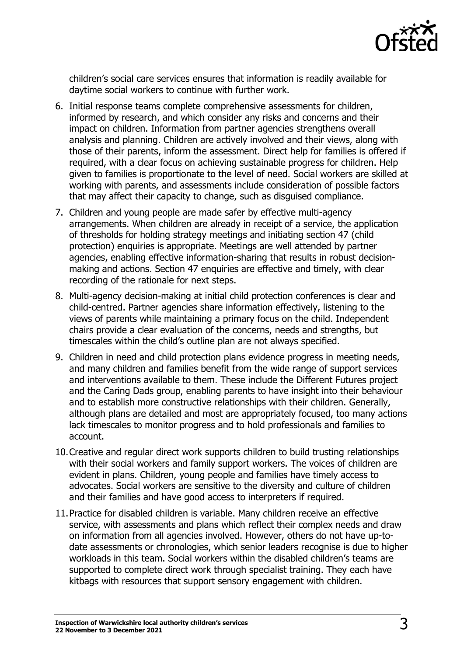

children's social care services ensures that information is readily available for daytime social workers to continue with further work.

- 6. Initial response teams complete comprehensive assessments for children, informed by research, and which consider any risks and concerns and their impact on children. Information from partner agencies strengthens overall analysis and planning. Children are actively involved and their views, along with those of their parents, inform the assessment. Direct help for families is offered if required, with a clear focus on achieving sustainable progress for children. Help given to families is proportionate to the level of need. Social workers are skilled at working with parents, and assessments include consideration of possible factors that may affect their capacity to change, such as disguised compliance.
- 7. Children and young people are made safer by effective multi-agency arrangements. When children are already in receipt of a service, the application of thresholds for holding strategy meetings and initiating section 47 (child protection) enquiries is appropriate. Meetings are well attended by partner agencies, enabling effective information-sharing that results in robust decisionmaking and actions. Section 47 enquiries are effective and timely, with clear recording of the rationale for next steps.
- 8. Multi-agency decision-making at initial child protection conferences is clear and child-centred. Partner agencies share information effectively, listening to the views of parents while maintaining a primary focus on the child. Independent chairs provide a clear evaluation of the concerns, needs and strengths, but timescales within the child's outline plan are not always specified.
- 9. Children in need and child protection plans evidence progress in meeting needs, and many children and families benefit from the wide range of support services and interventions available to them. These include the Different Futures project and the Caring Dads group, enabling parents to have insight into their behaviour and to establish more constructive relationships with their children. Generally, although plans are detailed and most are appropriately focused, too many actions lack timescales to monitor progress and to hold professionals and families to account.
- 10.Creative and regular direct work supports children to build trusting relationships with their social workers and family support workers. The voices of children are evident in plans. Children, young people and families have timely access to advocates. Social workers are sensitive to the diversity and culture of children and their families and have good access to interpreters if required.
- 11.Practice for disabled children is variable. Many children receive an effective service, with assessments and plans which reflect their complex needs and draw on information from all agencies involved. However, others do not have up-todate assessments or chronologies, which senior leaders recognise is due to higher workloads in this team. Social workers within the disabled children's teams are supported to complete direct work through specialist training. They each have kitbags with resources that support sensory engagement with children.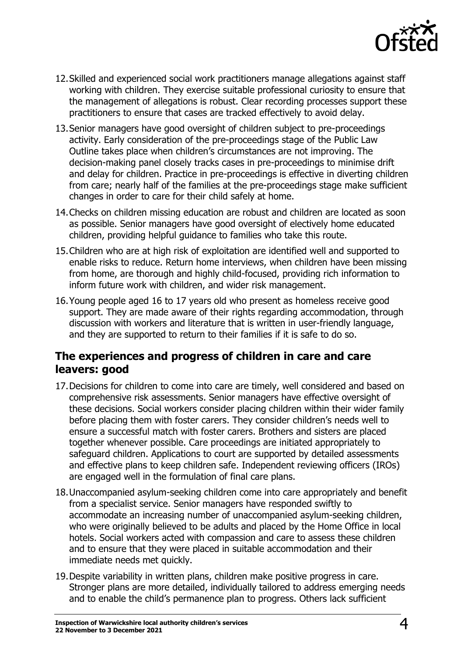

- 12.Skilled and experienced social work practitioners manage allegations against staff working with children. They exercise suitable professional curiosity to ensure that the management of allegations is robust. Clear recording processes support these practitioners to ensure that cases are tracked effectively to avoid delay.
- 13.Senior managers have good oversight of children subject to pre-proceedings activity. Early consideration of the pre-proceedings stage of the Public Law Outline takes place when children's circumstances are not improving. The decision-making panel closely tracks cases in pre-proceedings to minimise drift and delay for children. Practice in pre-proceedings is effective in diverting children from care; nearly half of the families at the pre-proceedings stage make sufficient changes in order to care for their child safely at home.
- 14.Checks on children missing education are robust and children are located as soon as possible. Senior managers have good oversight of electively home educated children, providing helpful guidance to families who take this route.
- 15.Children who are at high risk of exploitation are identified well and supported to enable risks to reduce. Return home interviews, when children have been missing from home, are thorough and highly child-focused, providing rich information to inform future work with children, and wider risk management.
- 16.Young people aged 16 to 17 years old who present as homeless receive good support. They are made aware of their rights regarding accommodation, through discussion with workers and literature that is written in user-friendly language, and they are supported to return to their families if it is safe to do so.

### **The experiences and progress of children in care and care leavers: good**

- 17.Decisions for children to come into care are timely, well considered and based on comprehensive risk assessments. Senior managers have effective oversight of these decisions. Social workers consider placing children within their wider family before placing them with foster carers. They consider children's needs well to ensure a successful match with foster carers. Brothers and sisters are placed together whenever possible. Care proceedings are initiated appropriately to safeguard children. Applications to court are supported by detailed assessments and effective plans to keep children safe. Independent reviewing officers (IROs) are engaged well in the formulation of final care plans.
- 18.Unaccompanied asylum-seeking children come into care appropriately and benefit from a specialist service. Senior managers have responded swiftly to accommodate an increasing number of unaccompanied asylum-seeking children, who were originally believed to be adults and placed by the Home Office in local hotels. Social workers acted with compassion and care to assess these children and to ensure that they were placed in suitable accommodation and their immediate needs met quickly.
- 19.Despite variability in written plans, children make positive progress in care. Stronger plans are more detailed, individually tailored to address emerging needs and to enable the child's permanence plan to progress. Others lack sufficient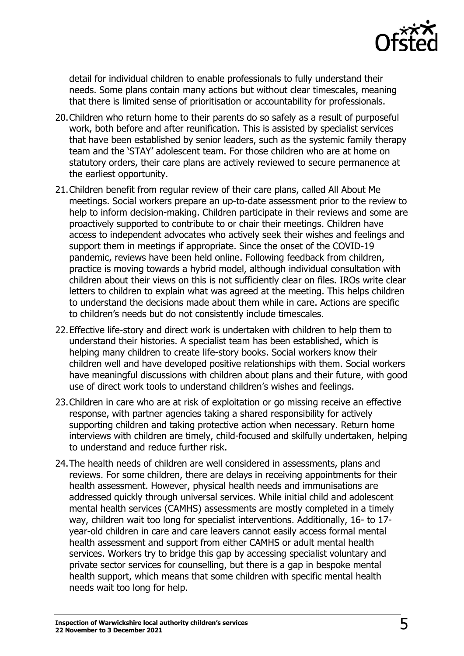

detail for individual children to enable professionals to fully understand their needs. Some plans contain many actions but without clear timescales, meaning that there is limited sense of prioritisation or accountability for professionals.

- 20.Children who return home to their parents do so safely as a result of purposeful work, both before and after reunification. This is assisted by specialist services that have been established by senior leaders, such as the systemic family therapy team and the 'STAY' adolescent team. For those children who are at home on statutory orders, their care plans are actively reviewed to secure permanence at the earliest opportunity.
- 21.Children benefit from regular review of their care plans, called All About Me meetings. Social workers prepare an up-to-date assessment prior to the review to help to inform decision-making. Children participate in their reviews and some are proactively supported to contribute to or chair their meetings. Children have access to independent advocates who actively seek their wishes and feelings and support them in meetings if appropriate. Since the onset of the COVID-19 pandemic, reviews have been held online. Following feedback from children, practice is moving towards a hybrid model, although individual consultation with children about their views on this is not sufficiently clear on files. IROs write clear letters to children to explain what was agreed at the meeting. This helps children to understand the decisions made about them while in care. Actions are specific to children's needs but do not consistently include timescales.
- 22.Effective life-story and direct work is undertaken with children to help them to understand their histories. A specialist team has been established, which is helping many children to create life-story books. Social workers know their children well and have developed positive relationships with them. Social workers have meaningful discussions with children about plans and their future, with good use of direct work tools to understand children's wishes and feelings.
- 23.Children in care who are at risk of exploitation or go missing receive an effective response, with partner agencies taking a shared responsibility for actively supporting children and taking protective action when necessary. Return home interviews with children are timely, child-focused and skilfully undertaken, helping to understand and reduce further risk.
- 24.The health needs of children are well considered in assessments, plans and reviews. For some children, there are delays in receiving appointments for their health assessment. However, physical health needs and immunisations are addressed quickly through universal services. While initial child and adolescent mental health services (CAMHS) assessments are mostly completed in a timely way, children wait too long for specialist interventions. Additionally, 16- to 17 year-old children in care and care leavers cannot easily access formal mental health assessment and support from either CAMHS or adult mental health services. Workers try to bridge this gap by accessing specialist voluntary and private sector services for counselling, but there is a gap in bespoke mental health support, which means that some children with specific mental health needs wait too long for help.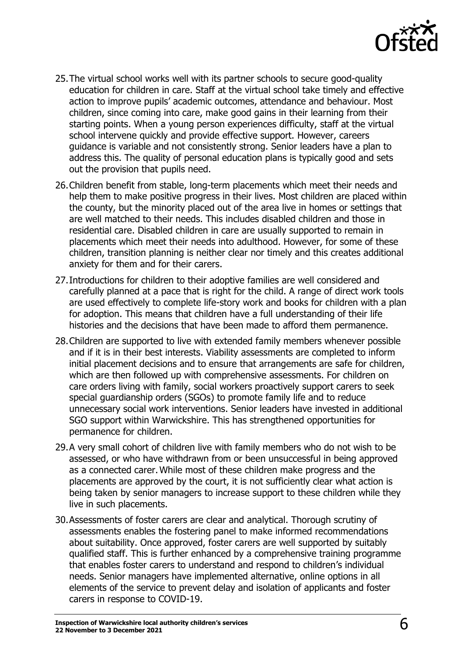

- 25.The virtual school works well with its partner schools to secure good-quality education for children in care. Staff at the virtual school take timely and effective action to improve pupils' academic outcomes, attendance and behaviour. Most children, since coming into care, make good gains in their learning from their starting points. When a young person experiences difficulty, staff at the virtual school intervene quickly and provide effective support. However, careers guidance is variable and not consistently strong. Senior leaders have a plan to address this. The quality of personal education plans is typically good and sets out the provision that pupils need.
- 26.Children benefit from stable, long-term placements which meet their needs and help them to make positive progress in their lives. Most children are placed within the county, but the minority placed out of the area live in homes or settings that are well matched to their needs. This includes disabled children and those in residential care. Disabled children in care are usually supported to remain in placements which meet their needs into adulthood. However, for some of these children, transition planning is neither clear nor timely and this creates additional anxiety for them and for their carers.
- 27.Introductions for children to their adoptive families are well considered and carefully planned at a pace that is right for the child. A range of direct work tools are used effectively to complete life-story work and books for children with a plan for adoption. This means that children have a full understanding of their life histories and the decisions that have been made to afford them permanence.
- 28.Children are supported to live with extended family members whenever possible and if it is in their best interests. Viability assessments are completed to inform initial placement decisions and to ensure that arrangements are safe for children, which are then followed up with comprehensive assessments. For children on care orders living with family, social workers proactively support carers to seek special guardianship orders (SGOs) to promote family life and to reduce unnecessary social work interventions. Senior leaders have invested in additional SGO support within Warwickshire. This has strengthened opportunities for permanence for children.
- 29.A very small cohort of children live with family members who do not wish to be assessed, or who have withdrawn from or been unsuccessful in being approved as a connected carer. While most of these children make progress and the placements are approved by the court, it is not sufficiently clear what action is being taken by senior managers to increase support to these children while they live in such placements.
- 30.Assessments of foster carers are clear and analytical. Thorough scrutiny of assessments enables the fostering panel to make informed recommendations about suitability. Once approved, foster carers are well supported by suitably qualified staff. This is further enhanced by a comprehensive training programme that enables foster carers to understand and respond to children's individual needs. Senior managers have implemented alternative, online options in all elements of the service to prevent delay and isolation of applicants and foster carers in response to COVID-19.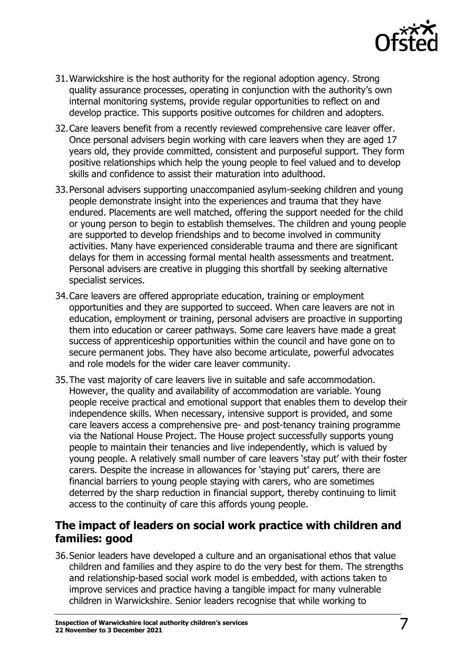

- 31.Warwickshire is the host authority for the regional adoption agency. Strong quality assurance processes, operating in conjunction with the authority's own internal monitoring systems, provide regular opportunities to reflect on and develop practice. This supports positive outcomes for children and adopters.
- 32.Care leavers benefit from a recently reviewed comprehensive care leaver offer. Once personal advisers begin working with care leavers when they are aged 17 years old, they provide committed, consistent and purposeful support. They form positive relationships which help the young people to feel valued and to develop skills and confidence to assist their maturation into adulthood.
- 33.Personal advisers supporting unaccompanied asylum-seeking children and young people demonstrate insight into the experiences and trauma that they have endured. Placements are well matched, offering the support needed for the child or young person to begin to establish themselves. The children and young people are supported to develop friendships and to become involved in community activities. Many have experienced considerable trauma and there are significant delays for them in accessing formal mental health assessments and treatment. Personal advisers are creative in plugging this shortfall by seeking alternative specialist services.
- 34.Care leavers are offered appropriate education, training or employment opportunities and they are supported to succeed. When care leavers are not in education, employment or training, personal advisers are proactive in supporting them into education or career pathways. Some care leavers have made a great success of apprenticeship opportunities within the council and have gone on to secure permanent jobs. They have also become articulate, powerful advocates and role models for the wider care leaver community.
- 35.The vast majority of care leavers live in suitable and safe accommodation. However, the quality and availability of accommodation are variable. Young people receive practical and emotional support that enables them to develop their independence skills. When necessary, intensive support is provided, and some care leavers access a comprehensive pre- and post-tenancy training programme via the National House Project. The House project successfully supports young people to maintain their tenancies and live independently, which is valued by young people. A relatively small number of care leavers 'stay put' with their foster carers. Despite the increase in allowances for 'staying put' carers, there are financial barriers to young people staying with carers, who are sometimes deterred by the sharp reduction in financial support, thereby continuing to limit access to the continuity of care this affords young people.

### **The impact of leaders on social work practice with children and families: good**

36.Senior leaders have developed a culture and an organisational ethos that value children and families and they aspire to do the very best for them. The strengths and relationship-based social work model is embedded, with actions taken to improve services and practice having a tangible impact for many vulnerable children in Warwickshire. Senior leaders recognise that while working to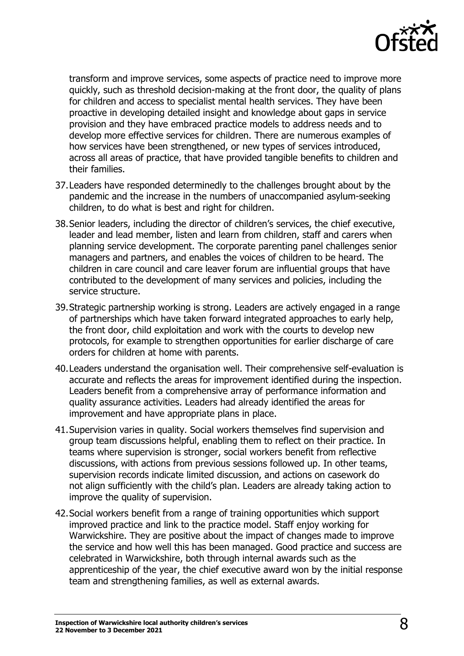

transform and improve services, some aspects of practice need to improve more quickly, such as threshold decision-making at the front door, the quality of plans for children and access to specialist mental health services. They have been proactive in developing detailed insight and knowledge about gaps in service provision and they have embraced practice models to address needs and to develop more effective services for children. There are numerous examples of how services have been strengthened, or new types of services introduced, across all areas of practice, that have provided tangible benefits to children and their families.

- 37.Leaders have responded determinedly to the challenges brought about by the pandemic and the increase in the numbers of unaccompanied asylum-seeking children, to do what is best and right for children.
- 38.Senior leaders, including the director of children's services, the chief executive, leader and lead member, listen and learn from children, staff and carers when planning service development. The corporate parenting panel challenges senior managers and partners, and enables the voices of children to be heard. The children in care council and care leaver forum are influential groups that have contributed to the development of many services and policies, including the service structure.
- 39.Strategic partnership working is strong. Leaders are actively engaged in a range of partnerships which have taken forward integrated approaches to early help, the front door, child exploitation and work with the courts to develop new protocols, for example to strengthen opportunities for earlier discharge of care orders for children at home with parents.
- 40.Leaders understand the organisation well. Their comprehensive self-evaluation is accurate and reflects the areas for improvement identified during the inspection. Leaders benefit from a comprehensive array of performance information and quality assurance activities. Leaders had already identified the areas for improvement and have appropriate plans in place.
- 41.Supervision varies in quality. Social workers themselves find supervision and group team discussions helpful, enabling them to reflect on their practice. In teams where supervision is stronger, social workers benefit from reflective discussions, with actions from previous sessions followed up. In other teams, supervision records indicate limited discussion, and actions on casework do not align sufficiently with the child's plan. Leaders are already taking action to improve the quality of supervision.
- 42.Social workers benefit from a range of training opportunities which support improved practice and link to the practice model. Staff enjoy working for Warwickshire. They are positive about the impact of changes made to improve the service and how well this has been managed. Good practice and success are celebrated in Warwickshire, both through internal awards such as the apprenticeship of the year, the chief executive award won by the initial response team and strengthening families, as well as external awards.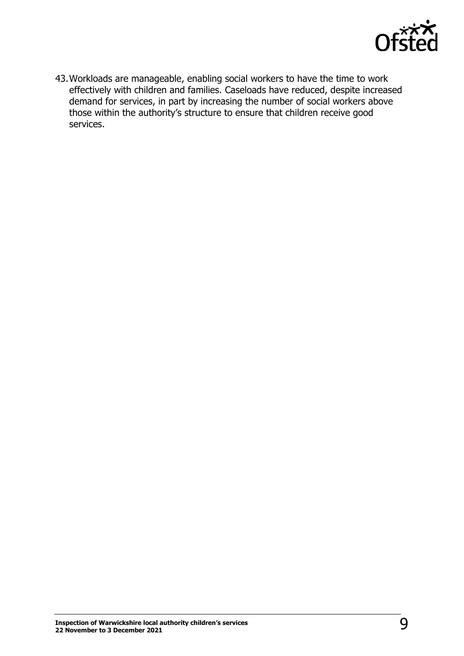

43.Workloads are manageable, enabling social workers to have the time to work effectively with children and families. Caseloads have reduced, despite increased demand for services, in part by increasing the number of social workers above those within the authority's structure to ensure that children receive good services.